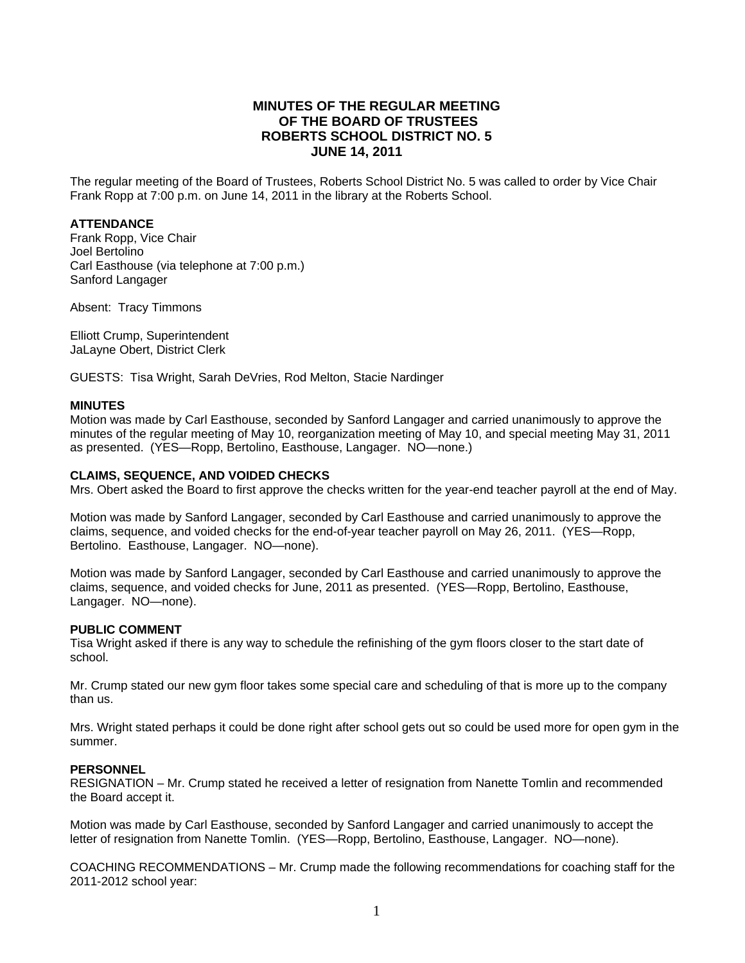# **MINUTES OF THE REGULAR MEETING OF THE BOARD OF TRUSTEES ROBERTS SCHOOL DISTRICT NO. 5 JUNE 14, 2011**

The regular meeting of the Board of Trustees, Roberts School District No. 5 was called to order by Vice Chair Frank Ropp at 7:00 p.m. on June 14, 2011 in the library at the Roberts School.

## **ATTENDANCE**

Frank Ropp, Vice Chair Joel Bertolino Carl Easthouse (via telephone at 7:00 p.m.) Sanford Langager

Absent: Tracy Timmons

Elliott Crump, Superintendent JaLayne Obert, District Clerk

GUESTS: Tisa Wright, Sarah DeVries, Rod Melton, Stacie Nardinger

#### **MINUTES**

Motion was made by Carl Easthouse, seconded by Sanford Langager and carried unanimously to approve the minutes of the regular meeting of May 10, reorganization meeting of May 10, and special meeting May 31, 2011 as presented. (YES—Ropp, Bertolino, Easthouse, Langager. NO—none.)

## **CLAIMS, SEQUENCE, AND VOIDED CHECKS**

Mrs. Obert asked the Board to first approve the checks written for the year-end teacher payroll at the end of May.

Motion was made by Sanford Langager, seconded by Carl Easthouse and carried unanimously to approve the claims, sequence, and voided checks for the end-of-year teacher payroll on May 26, 2011. (YES—Ropp, Bertolino. Easthouse, Langager. NO—none).

Motion was made by Sanford Langager, seconded by Carl Easthouse and carried unanimously to approve the claims, sequence, and voided checks for June, 2011 as presented. (YES—Ropp, Bertolino, Easthouse, Langager. NO—none).

#### **PUBLIC COMMENT**

Tisa Wright asked if there is any way to schedule the refinishing of the gym floors closer to the start date of school.

Mr. Crump stated our new gym floor takes some special care and scheduling of that is more up to the company than us.

Mrs. Wright stated perhaps it could be done right after school gets out so could be used more for open gym in the summer.

#### **PERSONNEL**

RESIGNATION – Mr. Crump stated he received a letter of resignation from Nanette Tomlin and recommended the Board accept it.

Motion was made by Carl Easthouse, seconded by Sanford Langager and carried unanimously to accept the letter of resignation from Nanette Tomlin. (YES—Ropp, Bertolino, Easthouse, Langager. NO—none).

COACHING RECOMMENDATIONS – Mr. Crump made the following recommendations for coaching staff for the 2011-2012 school year: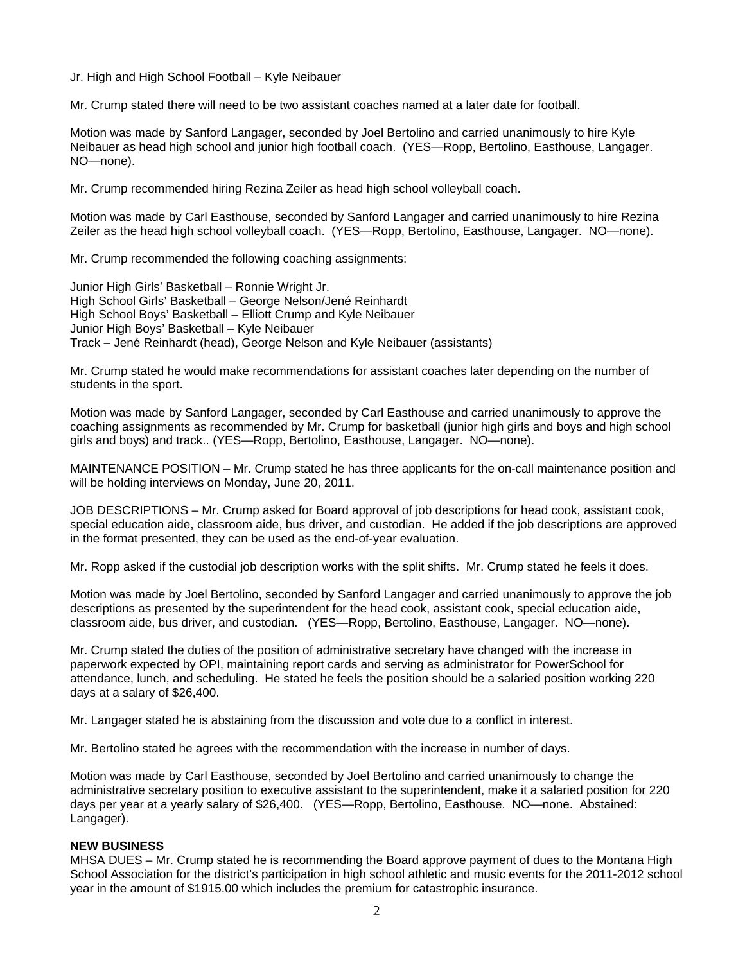Jr. High and High School Football – Kyle Neibauer

Mr. Crump stated there will need to be two assistant coaches named at a later date for football.

Motion was made by Sanford Langager, seconded by Joel Bertolino and carried unanimously to hire Kyle Neibauer as head high school and junior high football coach. (YES—Ropp, Bertolino, Easthouse, Langager. NO—none).

Mr. Crump recommended hiring Rezina Zeiler as head high school volleyball coach.

Motion was made by Carl Easthouse, seconded by Sanford Langager and carried unanimously to hire Rezina Zeiler as the head high school volleyball coach. (YES—Ropp, Bertolino, Easthouse, Langager. NO—none).

Mr. Crump recommended the following coaching assignments:

Junior High Girls' Basketball – Ronnie Wright Jr. High School Girls' Basketball – George Nelson/Jené Reinhardt High School Boys' Basketball – Elliott Crump and Kyle Neibauer Junior High Boys' Basketball – Kyle Neibauer Track – Jené Reinhardt (head), George Nelson and Kyle Neibauer (assistants)

Mr. Crump stated he would make recommendations for assistant coaches later depending on the number of students in the sport.

Motion was made by Sanford Langager, seconded by Carl Easthouse and carried unanimously to approve the coaching assignments as recommended by Mr. Crump for basketball (junior high girls and boys and high school girls and boys) and track.. (YES—Ropp, Bertolino, Easthouse, Langager. NO—none).

MAINTENANCE POSITION – Mr. Crump stated he has three applicants for the on-call maintenance position and will be holding interviews on Monday, June 20, 2011.

JOB DESCRIPTIONS – Mr. Crump asked for Board approval of job descriptions for head cook, assistant cook, special education aide, classroom aide, bus driver, and custodian. He added if the job descriptions are approved in the format presented, they can be used as the end-of-year evaluation.

Mr. Ropp asked if the custodial job description works with the split shifts. Mr. Crump stated he feels it does.

Motion was made by Joel Bertolino, seconded by Sanford Langager and carried unanimously to approve the job descriptions as presented by the superintendent for the head cook, assistant cook, special education aide, classroom aide, bus driver, and custodian. (YES—Ropp, Bertolino, Easthouse, Langager. NO—none).

Mr. Crump stated the duties of the position of administrative secretary have changed with the increase in paperwork expected by OPI, maintaining report cards and serving as administrator for PowerSchool for attendance, lunch, and scheduling. He stated he feels the position should be a salaried position working 220 days at a salary of \$26,400.

Mr. Langager stated he is abstaining from the discussion and vote due to a conflict in interest.

Mr. Bertolino stated he agrees with the recommendation with the increase in number of days.

Motion was made by Carl Easthouse, seconded by Joel Bertolino and carried unanimously to change the administrative secretary position to executive assistant to the superintendent, make it a salaried position for 220 days per year at a yearly salary of \$26,400. (YES—Ropp, Bertolino, Easthouse. NO—none. Abstained: Langager).

# **NEW BUSINESS**

MHSA DUES – Mr. Crump stated he is recommending the Board approve payment of dues to the Montana High School Association for the district's participation in high school athletic and music events for the 2011-2012 school year in the amount of \$1915.00 which includes the premium for catastrophic insurance.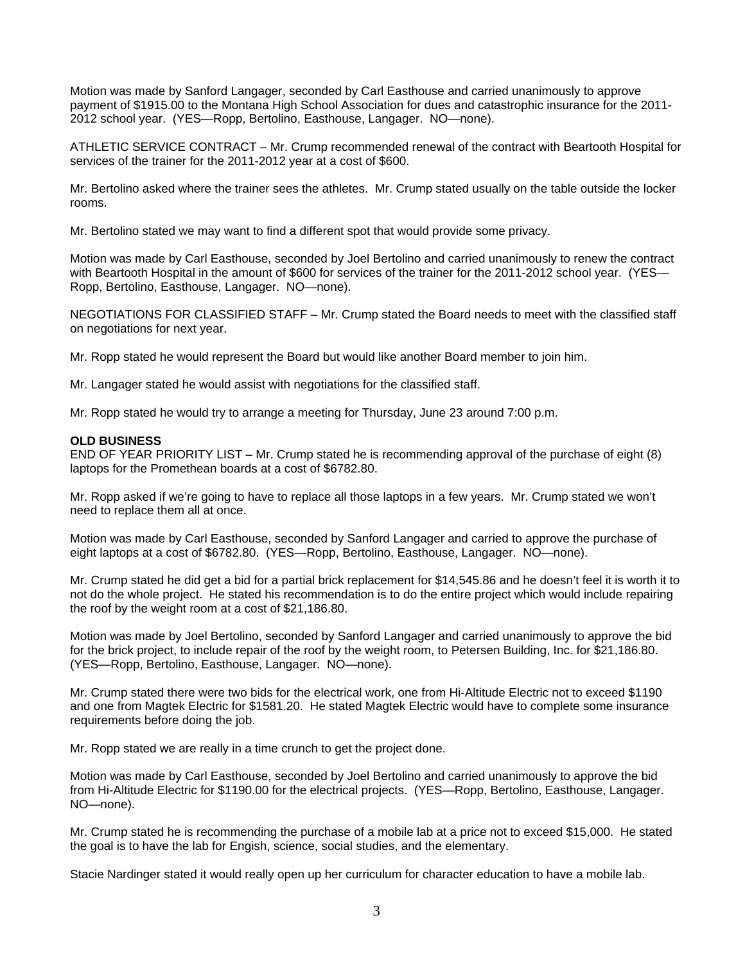Motion was made by Sanford Langager, seconded by Carl Easthouse and carried unanimously to approve payment of \$1915.00 to the Montana High School Association for dues and catastrophic insurance for the 2011- 2012 school year. (YES—Ropp, Bertolino, Easthouse, Langager. NO—none).

ATHLETIC SERVICE CONTRACT – Mr. Crump recommended renewal of the contract with Beartooth Hospital for services of the trainer for the 2011-2012 year at a cost of \$600.

Mr. Bertolino asked where the trainer sees the athletes. Mr. Crump stated usually on the table outside the locker rooms.

Mr. Bertolino stated we may want to find a different spot that would provide some privacy.

Motion was made by Carl Easthouse, seconded by Joel Bertolino and carried unanimously to renew the contract with Beartooth Hospital in the amount of \$600 for services of the trainer for the 2011-2012 school year. (YES-Ropp, Bertolino, Easthouse, Langager. NO—none).

NEGOTIATIONS FOR CLASSIFIED STAFF – Mr. Crump stated the Board needs to meet with the classified staff on negotiations for next year.

Mr. Ropp stated he would represent the Board but would like another Board member to join him.

Mr. Langager stated he would assist with negotiations for the classified staff.

Mr. Ropp stated he would try to arrange a meeting for Thursday, June 23 around 7:00 p.m.

#### **OLD BUSINESS**

END OF YEAR PRIORITY LIST – Mr. Crump stated he is recommending approval of the purchase of eight (8) laptops for the Promethean boards at a cost of \$6782.80.

Mr. Ropp asked if we're going to have to replace all those laptops in a few years. Mr. Crump stated we won't need to replace them all at once.

Motion was made by Carl Easthouse, seconded by Sanford Langager and carried to approve the purchase of eight laptops at a cost of \$6782.80. (YES—Ropp, Bertolino, Easthouse, Langager. NO—none).

Mr. Crump stated he did get a bid for a partial brick replacement for \$14,545.86 and he doesn't feel it is worth it to not do the whole project. He stated his recommendation is to do the entire project which would include repairing the roof by the weight room at a cost of \$21,186.80.

Motion was made by Joel Bertolino, seconded by Sanford Langager and carried unanimously to approve the bid for the brick project, to include repair of the roof by the weight room, to Petersen Building, Inc. for \$21,186.80. (YES—Ropp, Bertolino, Easthouse, Langager. NO—none).

Mr. Crump stated there were two bids for the electrical work, one from Hi-Altitude Electric not to exceed \$1190 and one from Magtek Electric for \$1581.20. He stated Magtek Electric would have to complete some insurance requirements before doing the job.

Mr. Ropp stated we are really in a time crunch to get the project done.

Motion was made by Carl Easthouse, seconded by Joel Bertolino and carried unanimously to approve the bid from Hi-Altitude Electric for \$1190.00 for the electrical projects. (YES—Ropp, Bertolino, Easthouse, Langager. NO—none).

Mr. Crump stated he is recommending the purchase of a mobile lab at a price not to exceed \$15,000. He stated the goal is to have the lab for Engish, science, social studies, and the elementary.

Stacie Nardinger stated it would really open up her curriculum for character education to have a mobile lab.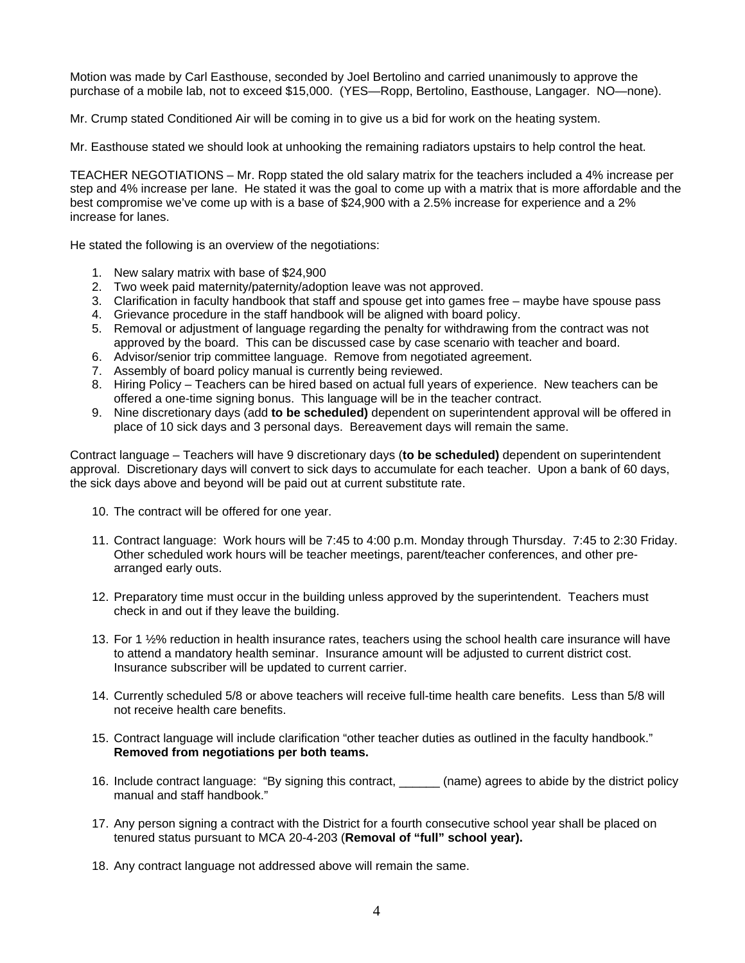Motion was made by Carl Easthouse, seconded by Joel Bertolino and carried unanimously to approve the purchase of a mobile lab, not to exceed \$15,000. (YES—Ropp, Bertolino, Easthouse, Langager. NO—none).

Mr. Crump stated Conditioned Air will be coming in to give us a bid for work on the heating system.

Mr. Easthouse stated we should look at unhooking the remaining radiators upstairs to help control the heat.

TEACHER NEGOTIATIONS – Mr. Ropp stated the old salary matrix for the teachers included a 4% increase per step and 4% increase per lane. He stated it was the goal to come up with a matrix that is more affordable and the best compromise we've come up with is a base of \$24,900 with a 2.5% increase for experience and a 2% increase for lanes.

He stated the following is an overview of the negotiations:

- 1. New salary matrix with base of \$24,900
- 2. Two week paid maternity/paternity/adoption leave was not approved.
- 3. Clarification in faculty handbook that staff and spouse get into games free maybe have spouse pass
- 4. Grievance procedure in the staff handbook will be aligned with board policy.
- 5. Removal or adjustment of language regarding the penalty for withdrawing from the contract was not approved by the board. This can be discussed case by case scenario with teacher and board.
- 6. Advisor/senior trip committee language. Remove from negotiated agreement.
- 7. Assembly of board policy manual is currently being reviewed.
- 8. Hiring Policy Teachers can be hired based on actual full years of experience. New teachers can be offered a one-time signing bonus. This language will be in the teacher contract.
- 9. Nine discretionary days (add **to be scheduled)** dependent on superintendent approval will be offered in place of 10 sick days and 3 personal days. Bereavement days will remain the same.

Contract language – Teachers will have 9 discretionary days (**to be scheduled)** dependent on superintendent approval. Discretionary days will convert to sick days to accumulate for each teacher. Upon a bank of 60 days, the sick days above and beyond will be paid out at current substitute rate.

- 10. The contract will be offered for one year.
- 11. Contract language: Work hours will be 7:45 to 4:00 p.m. Monday through Thursday. 7:45 to 2:30 Friday. Other scheduled work hours will be teacher meetings, parent/teacher conferences, and other prearranged early outs.
- 12. Preparatory time must occur in the building unless approved by the superintendent. Teachers must check in and out if they leave the building.
- 13. For 1 ½% reduction in health insurance rates, teachers using the school health care insurance will have to attend a mandatory health seminar. Insurance amount will be adjusted to current district cost. Insurance subscriber will be updated to current carrier.
- 14. Currently scheduled 5/8 or above teachers will receive full-time health care benefits. Less than 5/8 will not receive health care benefits.
- 15. Contract language will include clarification "other teacher duties as outlined in the faculty handbook." **Removed from negotiations per both teams.**
- 16. Include contract language: "By signing this contract, \_\_\_\_\_\_ (name) agrees to abide by the district policy manual and staff handbook."
- 17. Any person signing a contract with the District for a fourth consecutive school year shall be placed on tenured status pursuant to MCA 20-4-203 (**Removal of "full" school year).**
- 18. Any contract language not addressed above will remain the same.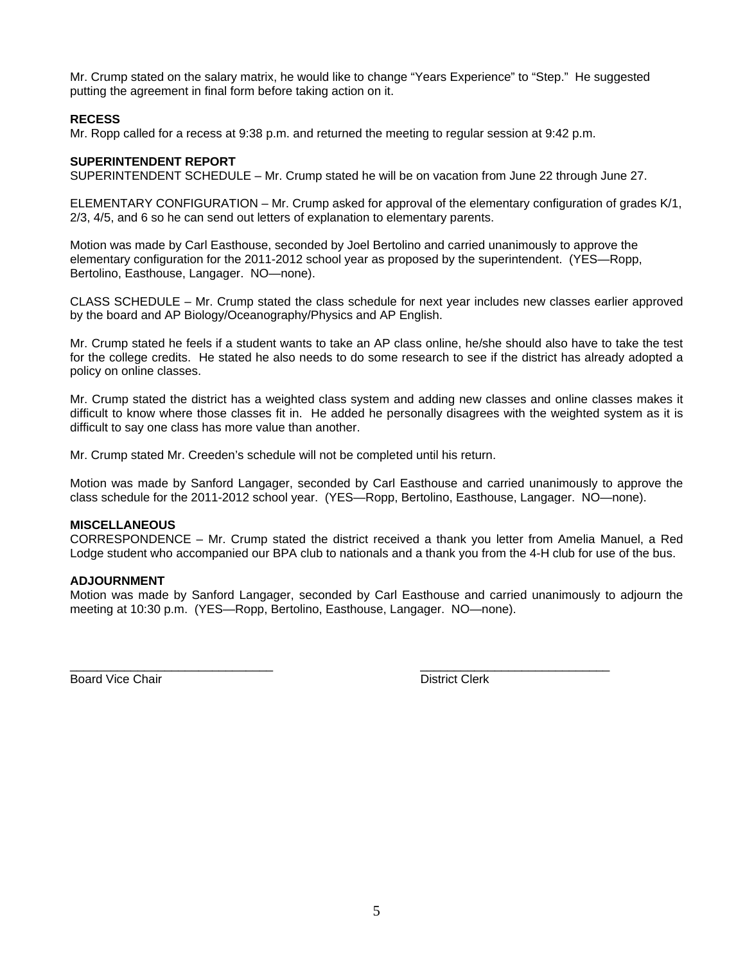Mr. Crump stated on the salary matrix, he would like to change "Years Experience" to "Step." He suggested putting the agreement in final form before taking action on it.

# **RECESS**

Mr. Ropp called for a recess at 9:38 p.m. and returned the meeting to regular session at 9:42 p.m.

# **SUPERINTENDENT REPORT**

SUPERINTENDENT SCHEDULE – Mr. Crump stated he will be on vacation from June 22 through June 27.

ELEMENTARY CONFIGURATION – Mr. Crump asked for approval of the elementary configuration of grades K/1, 2/3, 4/5, and 6 so he can send out letters of explanation to elementary parents.

Motion was made by Carl Easthouse, seconded by Joel Bertolino and carried unanimously to approve the elementary configuration for the 2011-2012 school year as proposed by the superintendent. (YES—Ropp, Bertolino, Easthouse, Langager. NO—none).

CLASS SCHEDULE – Mr. Crump stated the class schedule for next year includes new classes earlier approved by the board and AP Biology/Oceanography/Physics and AP English.

Mr. Crump stated he feels if a student wants to take an AP class online, he/she should also have to take the test for the college credits. He stated he also needs to do some research to see if the district has already adopted a policy on online classes.

Mr. Crump stated the district has a weighted class system and adding new classes and online classes makes it difficult to know where those classes fit in. He added he personally disagrees with the weighted system as it is difficult to say one class has more value than another.

Mr. Crump stated Mr. Creeden's schedule will not be completed until his return.

Motion was made by Sanford Langager, seconded by Carl Easthouse and carried unanimously to approve the class schedule for the 2011-2012 school year. (YES—Ropp, Bertolino, Easthouse, Langager. NO—none).

## **MISCELLANEOUS**

CORRESPONDENCE – Mr. Crump stated the district received a thank you letter from Amelia Manuel, a Red Lodge student who accompanied our BPA club to nationals and a thank you from the 4-H club for use of the bus.

## **ADJOURNMENT**

Motion was made by Sanford Langager, seconded by Carl Easthouse and carried unanimously to adjourn the meeting at 10:30 p.m. (YES—Ropp, Bertolino, Easthouse, Langager. NO—none).

\_\_\_\_\_\_\_\_\_\_\_\_\_\_\_\_\_\_\_\_\_\_\_\_\_\_\_\_\_\_ \_\_\_\_\_\_\_\_\_\_\_\_\_\_\_\_\_\_\_\_\_\_\_\_\_\_\_\_

Board Vice Chair **District Clerk Board Vice Chair**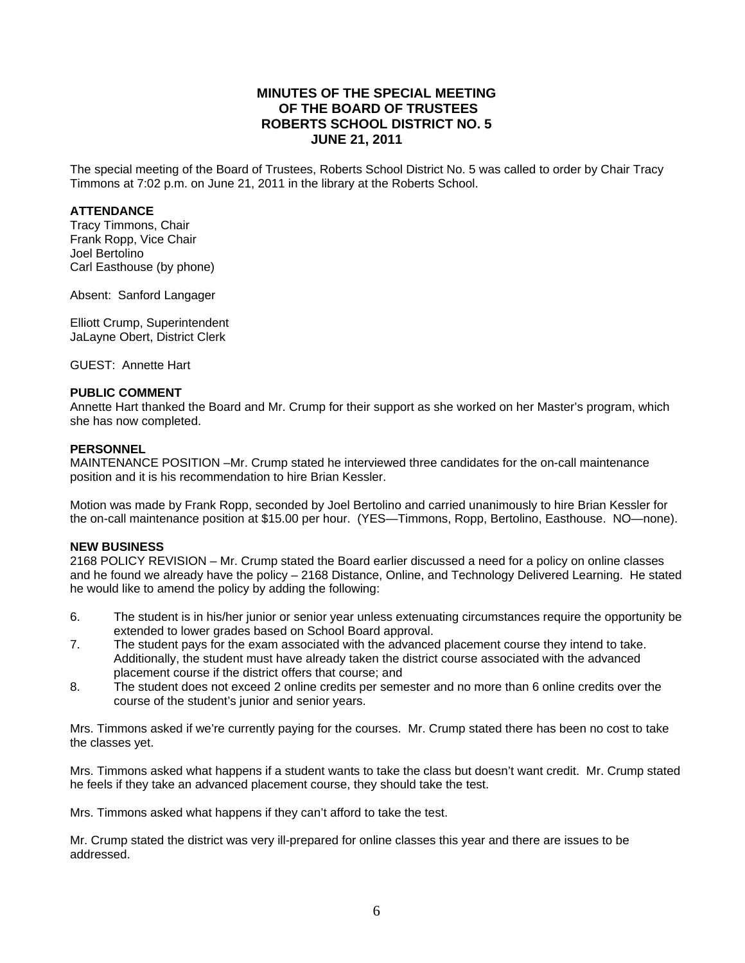# **MINUTES OF THE SPECIAL MEETING OF THE BOARD OF TRUSTEES ROBERTS SCHOOL DISTRICT NO. 5 JUNE 21, 2011**

The special meeting of the Board of Trustees, Roberts School District No. 5 was called to order by Chair Tracy Timmons at 7:02 p.m. on June 21, 2011 in the library at the Roberts School.

## **ATTENDANCE**

Tracy Timmons, Chair Frank Ropp, Vice Chair Joel Bertolino Carl Easthouse (by phone)

Absent: Sanford Langager

Elliott Crump, Superintendent JaLayne Obert, District Clerk

GUEST: Annette Hart

#### **PUBLIC COMMENT**

Annette Hart thanked the Board and Mr. Crump for their support as she worked on her Master's program, which she has now completed.

#### **PERSONNEL**

MAINTENANCE POSITION –Mr. Crump stated he interviewed three candidates for the on-call maintenance position and it is his recommendation to hire Brian Kessler.

Motion was made by Frank Ropp, seconded by Joel Bertolino and carried unanimously to hire Brian Kessler for the on-call maintenance position at \$15.00 per hour. (YES—Timmons, Ropp, Bertolino, Easthouse. NO—none).

#### **NEW BUSINESS**

2168 POLICY REVISION – Mr. Crump stated the Board earlier discussed a need for a policy on online classes and he found we already have the policy – 2168 Distance, Online, and Technology Delivered Learning. He stated he would like to amend the policy by adding the following:

- 6. The student is in his/her junior or senior year unless extenuating circumstances require the opportunity be extended to lower grades based on School Board approval.
- 7. The student pays for the exam associated with the advanced placement course they intend to take. Additionally, the student must have already taken the district course associated with the advanced placement course if the district offers that course; and
- 8. The student does not exceed 2 online credits per semester and no more than 6 online credits over the course of the student's junior and senior years.

Mrs. Timmons asked if we're currently paying for the courses. Mr. Crump stated there has been no cost to take the classes yet.

Mrs. Timmons asked what happens if a student wants to take the class but doesn't want credit. Mr. Crump stated he feels if they take an advanced placement course, they should take the test.

Mrs. Timmons asked what happens if they can't afford to take the test.

Mr. Crump stated the district was very ill-prepared for online classes this year and there are issues to be addressed.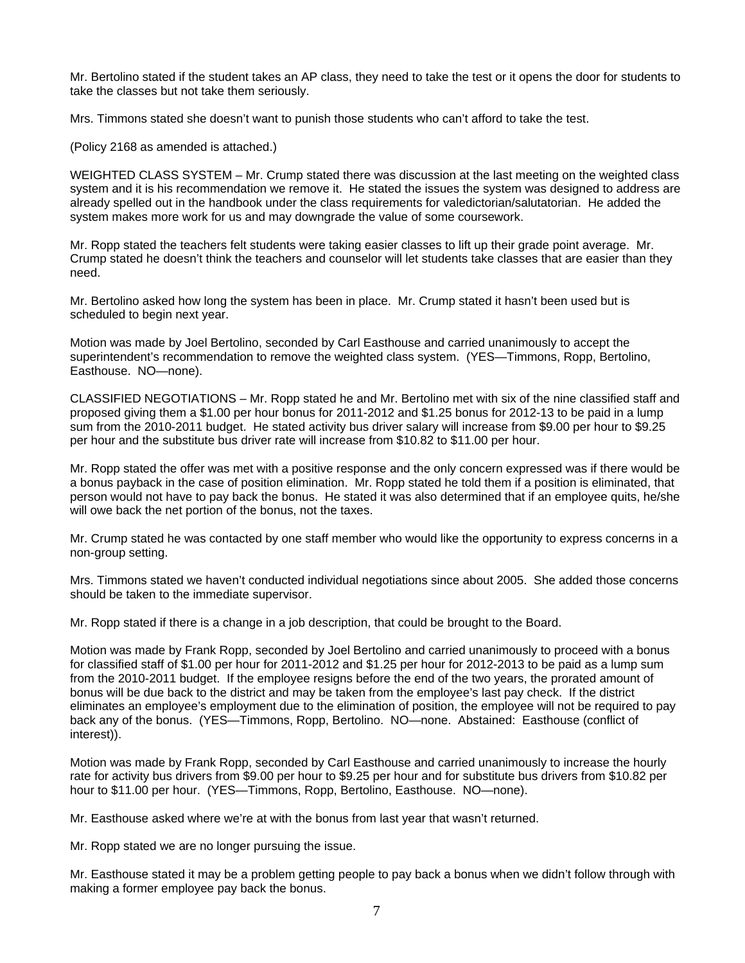Mr. Bertolino stated if the student takes an AP class, they need to take the test or it opens the door for students to take the classes but not take them seriously.

Mrs. Timmons stated she doesn't want to punish those students who can't afford to take the test.

(Policy 2168 as amended is attached.)

WEIGHTED CLASS SYSTEM – Mr. Crump stated there was discussion at the last meeting on the weighted class system and it is his recommendation we remove it. He stated the issues the system was designed to address are already spelled out in the handbook under the class requirements for valedictorian/salutatorian. He added the system makes more work for us and may downgrade the value of some coursework.

Mr. Ropp stated the teachers felt students were taking easier classes to lift up their grade point average. Mr. Crump stated he doesn't think the teachers and counselor will let students take classes that are easier than they need.

Mr. Bertolino asked how long the system has been in place. Mr. Crump stated it hasn't been used but is scheduled to begin next year.

Motion was made by Joel Bertolino, seconded by Carl Easthouse and carried unanimously to accept the superintendent's recommendation to remove the weighted class system. (YES—Timmons, Ropp, Bertolino, Easthouse. NO—none).

CLASSIFIED NEGOTIATIONS – Mr. Ropp stated he and Mr. Bertolino met with six of the nine classified staff and proposed giving them a \$1.00 per hour bonus for 2011-2012 and \$1.25 bonus for 2012-13 to be paid in a lump sum from the 2010-2011 budget. He stated activity bus driver salary will increase from \$9.00 per hour to \$9.25 per hour and the substitute bus driver rate will increase from \$10.82 to \$11.00 per hour.

Mr. Ropp stated the offer was met with a positive response and the only concern expressed was if there would be a bonus payback in the case of position elimination. Mr. Ropp stated he told them if a position is eliminated, that person would not have to pay back the bonus. He stated it was also determined that if an employee quits, he/she will owe back the net portion of the bonus, not the taxes.

Mr. Crump stated he was contacted by one staff member who would like the opportunity to express concerns in a non-group setting.

Mrs. Timmons stated we haven't conducted individual negotiations since about 2005. She added those concerns should be taken to the immediate supervisor.

Mr. Ropp stated if there is a change in a job description, that could be brought to the Board.

Motion was made by Frank Ropp, seconded by Joel Bertolino and carried unanimously to proceed with a bonus for classified staff of \$1.00 per hour for 2011-2012 and \$1.25 per hour for 2012-2013 to be paid as a lump sum from the 2010-2011 budget. If the employee resigns before the end of the two years, the prorated amount of bonus will be due back to the district and may be taken from the employee's last pay check. If the district eliminates an employee's employment due to the elimination of position, the employee will not be required to pay back any of the bonus. (YES—Timmons, Ropp, Bertolino. NO—none. Abstained: Easthouse (conflict of interest)).

Motion was made by Frank Ropp, seconded by Carl Easthouse and carried unanimously to increase the hourly rate for activity bus drivers from \$9.00 per hour to \$9.25 per hour and for substitute bus drivers from \$10.82 per hour to \$11.00 per hour. (YES—Timmons, Ropp, Bertolino, Easthouse. NO—none).

Mr. Easthouse asked where we're at with the bonus from last year that wasn't returned.

Mr. Ropp stated we are no longer pursuing the issue.

Mr. Easthouse stated it may be a problem getting people to pay back a bonus when we didn't follow through with making a former employee pay back the bonus.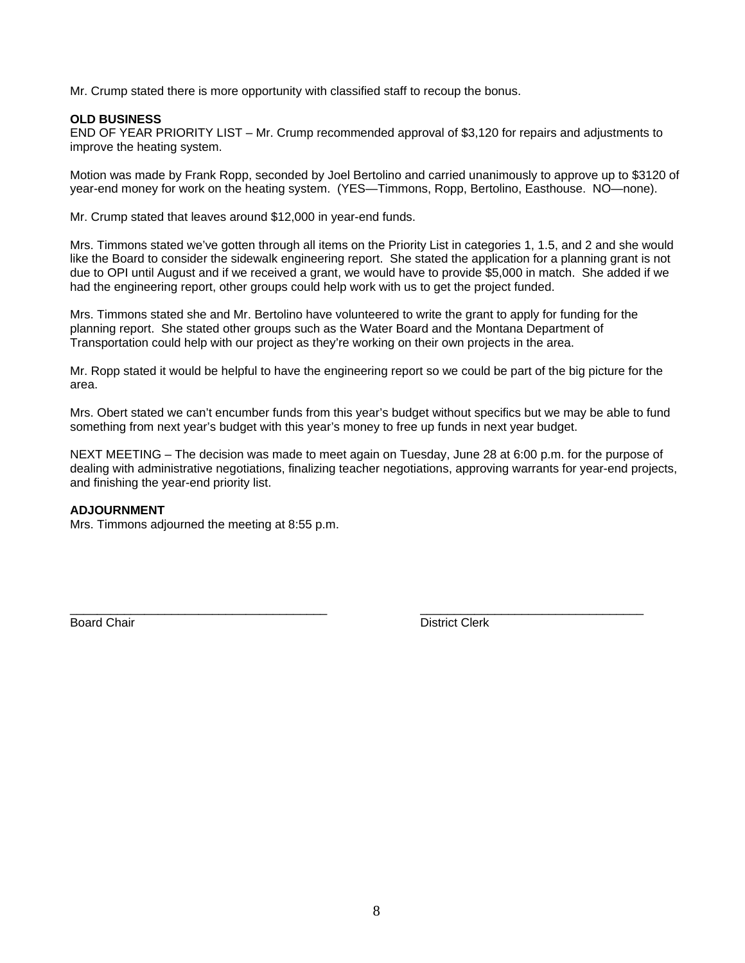Mr. Crump stated there is more opportunity with classified staff to recoup the bonus.

# **OLD BUSINESS**

END OF YEAR PRIORITY LIST – Mr. Crump recommended approval of \$3,120 for repairs and adjustments to improve the heating system.

Motion was made by Frank Ropp, seconded by Joel Bertolino and carried unanimously to approve up to \$3120 of year-end money for work on the heating system. (YES—Timmons, Ropp, Bertolino, Easthouse. NO—none).

Mr. Crump stated that leaves around \$12,000 in year-end funds.

Mrs. Timmons stated we've gotten through all items on the Priority List in categories 1, 1.5, and 2 and she would like the Board to consider the sidewalk engineering report. She stated the application for a planning grant is not due to OPI until August and if we received a grant, we would have to provide \$5,000 in match. She added if we had the engineering report, other groups could help work with us to get the project funded.

Mrs. Timmons stated she and Mr. Bertolino have volunteered to write the grant to apply for funding for the planning report. She stated other groups such as the Water Board and the Montana Department of Transportation could help with our project as they're working on their own projects in the area.

Mr. Ropp stated it would be helpful to have the engineering report so we could be part of the big picture for the area.

Mrs. Obert stated we can't encumber funds from this year's budget without specifics but we may be able to fund something from next year's budget with this year's money to free up funds in next year budget.

NEXT MEETING – The decision was made to meet again on Tuesday, June 28 at 6:00 p.m. for the purpose of dealing with administrative negotiations, finalizing teacher negotiations, approving warrants for year-end projects, and finishing the year-end priority list.

\_\_\_\_\_\_\_\_\_\_\_\_\_\_\_\_\_\_\_\_\_\_\_\_\_\_\_\_\_\_\_\_\_\_\_\_\_\_ \_\_\_\_\_\_\_\_\_\_\_\_\_\_\_\_\_\_\_\_\_\_\_\_\_\_\_\_\_\_\_\_\_

## **ADJOURNMENT**

Mrs. Timmons adjourned the meeting at 8:55 p.m.

**Board Chair** District Clerk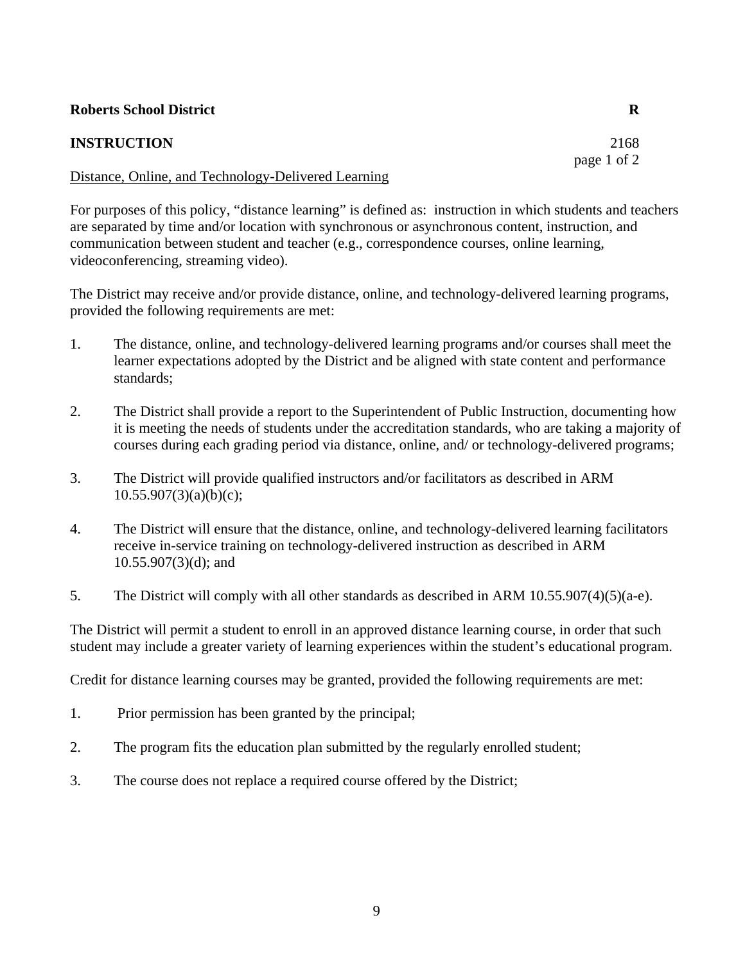# **Roberts School District R**

# **INSTRUCTION** 2168

# Distance, Online, and Technology-Delivered Learning

For purposes of this policy, "distance learning" is defined as: instruction in which students and teachers are separated by time and/or location with synchronous or asynchronous content, instruction, and communication between student and teacher (e.g., correspondence courses, online learning, videoconferencing, streaming video).

The District may receive and/or provide distance, online, and technology-delivered learning programs, provided the following requirements are met:

- 1. The distance, online, and technology-delivered learning programs and/or courses shall meet the learner expectations adopted by the District and be aligned with state content and performance standards;
- 2. The District shall provide a report to the Superintendent of Public Instruction, documenting how it is meeting the needs of students under the accreditation standards, who are taking a majority of courses during each grading period via distance, online, and/ or technology-delivered programs;
- 3. The District will provide qualified instructors and/or facilitators as described in ARM  $10.55.907(3)(a)(b)(c);$
- 4. The District will ensure that the distance, online, and technology-delivered learning facilitators receive in-service training on technology-delivered instruction as described in ARM 10.55.907(3)(d); and
- 5. The District will comply with all other standards as described in ARM 10.55.907(4)(5)(a-e).

The District will permit a student to enroll in an approved distance learning course, in order that such student may include a greater variety of learning experiences within the student's educational program.

Credit for distance learning courses may be granted, provided the following requirements are met:

- 1. Prior permission has been granted by the principal;
- 2. The program fits the education plan submitted by the regularly enrolled student;
- 3. The course does not replace a required course offered by the District;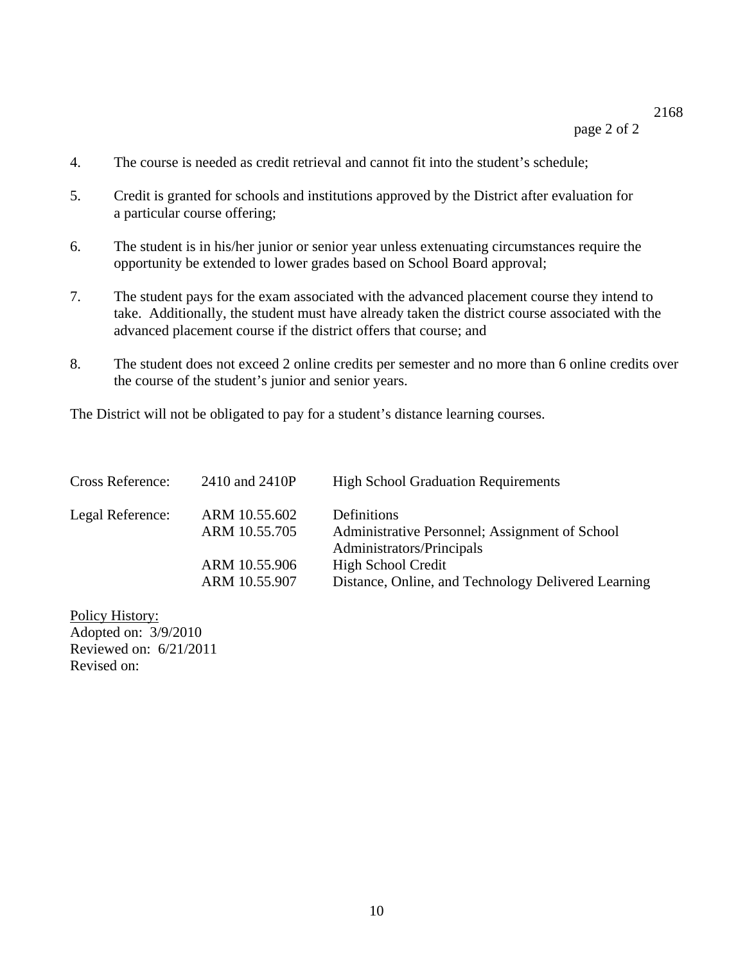# 2168

page 2 of 2

- 4. The course is needed as credit retrieval and cannot fit into the student's schedule;
- 5. Credit is granted for schools and institutions approved by the District after evaluation for a particular course offering;
- 6. The student is in his/her junior or senior year unless extenuating circumstances require the opportunity be extended to lower grades based on School Board approval;
- 7. The student pays for the exam associated with the advanced placement course they intend to take. Additionally, the student must have already taken the district course associated with the advanced placement course if the district offers that course; and
- 8. The student does not exceed 2 online credits per semester and no more than 6 online credits over the course of the student's junior and senior years.

The District will not be obligated to pay for a student's distance learning courses.

| <b>Cross Reference:</b> | 2410 and 2410P                 | <b>High School Graduation Requirements</b>                    |
|-------------------------|--------------------------------|---------------------------------------------------------------|
| Legal Reference:        | ARM 10.55.602<br>ARM 10.55.705 | Definitions<br>Administrative Personnel; Assignment of School |
|                         | ARM 10.55.906                  | Administrators/Principals<br><b>High School Credit</b>        |
|                         | ARM 10.55.907                  | Distance, Online, and Technology Delivered Learning           |

Policy History: Adopted on: 3/9/2010 Reviewed on: 6/21/2011 Revised on: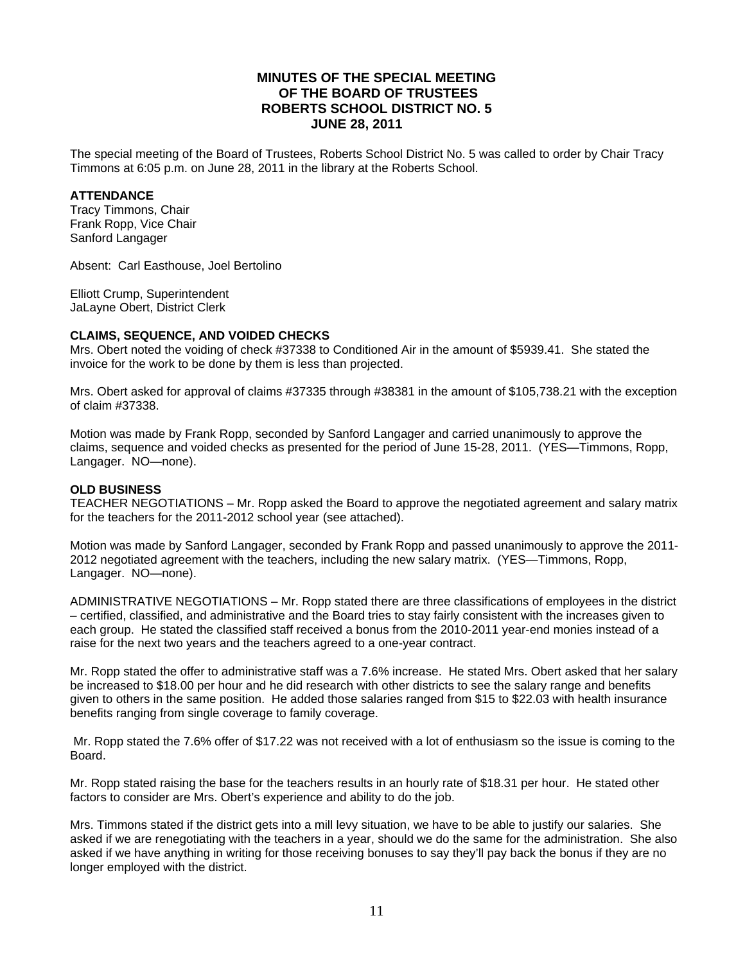# **MINUTES OF THE SPECIAL MEETING OF THE BOARD OF TRUSTEES ROBERTS SCHOOL DISTRICT NO. 5 JUNE 28, 2011**

The special meeting of the Board of Trustees, Roberts School District No. 5 was called to order by Chair Tracy Timmons at 6:05 p.m. on June 28, 2011 in the library at the Roberts School.

## **ATTENDANCE**

Tracy Timmons, Chair Frank Ropp, Vice Chair Sanford Langager

Absent: Carl Easthouse, Joel Bertolino

Elliott Crump, Superintendent JaLayne Obert, District Clerk

# **CLAIMS, SEQUENCE, AND VOIDED CHECKS**

Mrs. Obert noted the voiding of check #37338 to Conditioned Air in the amount of \$5939.41. She stated the invoice for the work to be done by them is less than projected.

Mrs. Obert asked for approval of claims #37335 through #38381 in the amount of \$105,738.21 with the exception of claim #37338.

Motion was made by Frank Ropp, seconded by Sanford Langager and carried unanimously to approve the claims, sequence and voided checks as presented for the period of June 15-28, 2011. (YES—Timmons, Ropp, Langager. NO—none).

#### **OLD BUSINESS**

TEACHER NEGOTIATIONS – Mr. Ropp asked the Board to approve the negotiated agreement and salary matrix for the teachers for the 2011-2012 school year (see attached).

Motion was made by Sanford Langager, seconded by Frank Ropp and passed unanimously to approve the 2011- 2012 negotiated agreement with the teachers, including the new salary matrix. (YES—Timmons, Ropp, Langager. NO—none).

ADMINISTRATIVE NEGOTIATIONS – Mr. Ropp stated there are three classifications of employees in the district – certified, classified, and administrative and the Board tries to stay fairly consistent with the increases given to each group. He stated the classified staff received a bonus from the 2010-2011 year-end monies instead of a raise for the next two years and the teachers agreed to a one-year contract.

Mr. Ropp stated the offer to administrative staff was a 7.6% increase. He stated Mrs. Obert asked that her salary be increased to \$18.00 per hour and he did research with other districts to see the salary range and benefits given to others in the same position. He added those salaries ranged from \$15 to \$22.03 with health insurance benefits ranging from single coverage to family coverage.

 Mr. Ropp stated the 7.6% offer of \$17.22 was not received with a lot of enthusiasm so the issue is coming to the Board.

Mr. Ropp stated raising the base for the teachers results in an hourly rate of \$18.31 per hour. He stated other factors to consider are Mrs. Obert's experience and ability to do the job.

Mrs. Timmons stated if the district gets into a mill levy situation, we have to be able to justify our salaries. She asked if we are renegotiating with the teachers in a year, should we do the same for the administration. She also asked if we have anything in writing for those receiving bonuses to say they'll pay back the bonus if they are no longer employed with the district.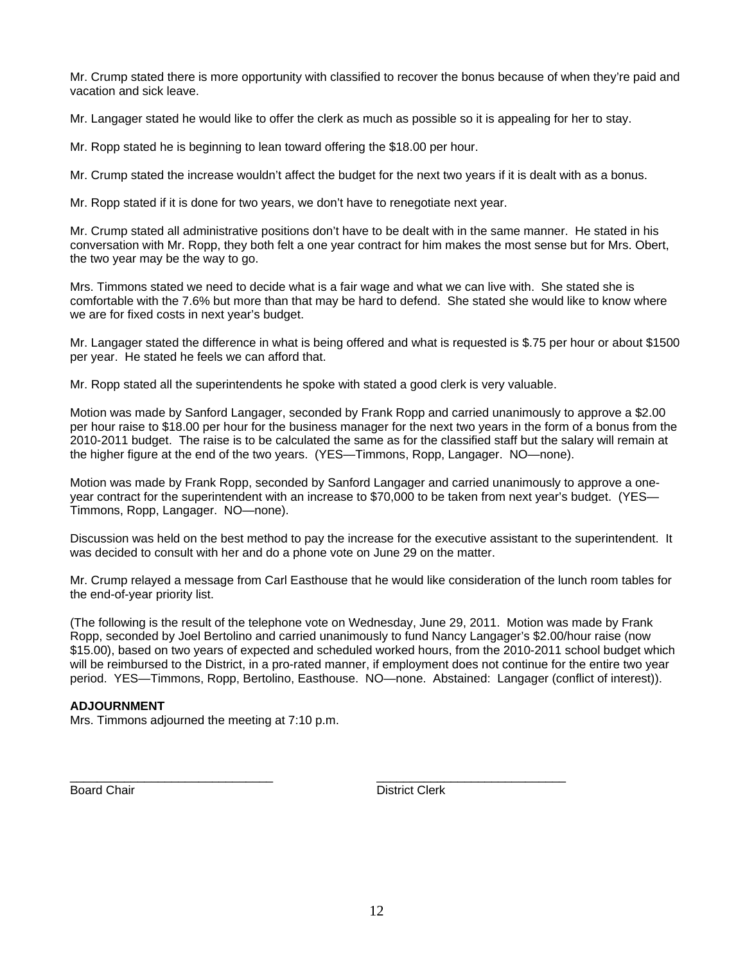Mr. Crump stated there is more opportunity with classified to recover the bonus because of when they're paid and vacation and sick leave.

Mr. Langager stated he would like to offer the clerk as much as possible so it is appealing for her to stay.

Mr. Ropp stated he is beginning to lean toward offering the \$18.00 per hour.

Mr. Crump stated the increase wouldn't affect the budget for the next two years if it is dealt with as a bonus.

Mr. Ropp stated if it is done for two years, we don't have to renegotiate next year.

Mr. Crump stated all administrative positions don't have to be dealt with in the same manner. He stated in his conversation with Mr. Ropp, they both felt a one year contract for him makes the most sense but for Mrs. Obert, the two year may be the way to go.

Mrs. Timmons stated we need to decide what is a fair wage and what we can live with. She stated she is comfortable with the 7.6% but more than that may be hard to defend. She stated she would like to know where we are for fixed costs in next year's budget.

Mr. Langager stated the difference in what is being offered and what is requested is \$.75 per hour or about \$1500 per year. He stated he feels we can afford that.

Mr. Ropp stated all the superintendents he spoke with stated a good clerk is very valuable.

Motion was made by Sanford Langager, seconded by Frank Ropp and carried unanimously to approve a \$2.00 per hour raise to \$18.00 per hour for the business manager for the next two years in the form of a bonus from the 2010-2011 budget. The raise is to be calculated the same as for the classified staff but the salary will remain at the higher figure at the end of the two years. (YES—Timmons, Ropp, Langager. NO—none).

Motion was made by Frank Ropp, seconded by Sanford Langager and carried unanimously to approve a oneyear contract for the superintendent with an increase to \$70,000 to be taken from next year's budget. (YES— Timmons, Ropp, Langager. NO—none).

Discussion was held on the best method to pay the increase for the executive assistant to the superintendent. It was decided to consult with her and do a phone vote on June 29 on the matter.

Mr. Crump relayed a message from Carl Easthouse that he would like consideration of the lunch room tables for the end-of-year priority list.

(The following is the result of the telephone vote on Wednesday, June 29, 2011. Motion was made by Frank Ropp, seconded by Joel Bertolino and carried unanimously to fund Nancy Langager's \$2.00/hour raise (now \$15.00), based on two years of expected and scheduled worked hours, from the 2010-2011 school budget which will be reimbursed to the District, in a pro-rated manner, if employment does not continue for the entire two year period. YES—Timmons, Ropp, Bertolino, Easthouse. NO—none. Abstained: Langager (conflict of interest)).

\_\_\_\_\_\_\_\_\_\_\_\_\_\_\_\_\_\_\_\_\_\_\_\_\_\_\_\_\_\_ \_\_\_\_\_\_\_\_\_\_\_\_\_\_\_\_\_\_\_\_\_\_\_\_\_\_\_\_

# **ADJOURNMENT**

Mrs. Timmons adjourned the meeting at 7:10 p.m.

**Board Chair District Clerk**